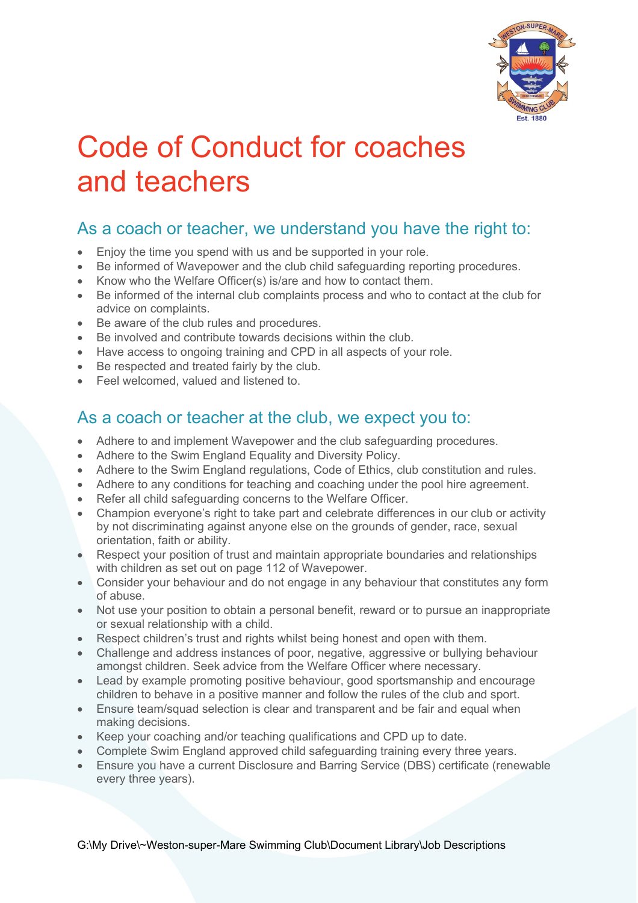

## Code of Conduct for coaches and teachers

## As a coach or teacher, we understand you have the right to:

- Enjoy the time you spend with us and be supported in your role.
- Be informed of Wavepower and the club child safeguarding reporting procedures.
- Know who the Welfare Officer(s) is/are and how to contact them.
- Be informed of the internal club complaints process and who to contact at the club for advice on complaints.
- Be aware of the club rules and procedures.
- Be involved and contribute towards decisions within the club.
- Have access to ongoing training and CPD in all aspects of your role.
- Be respected and treated fairly by the club.
- Feel welcomed, valued and listened to.

## As a coach or teacher at the club, we expect you to:

- Adhere to and implement Wavepower and the club safeguarding procedures.
- Adhere to the Swim England Equality and Diversity Policy.
- Adhere to the Swim England regulations, Code of Ethics, club constitution and rules.
- Adhere to any conditions for teaching and coaching under the pool hire agreement.
- Refer all child safeguarding concerns to the Welfare Officer.
- Champion everyone's right to take part and celebrate differences in our club or activity by not discriminating against anyone else on the grounds of gender, race, sexual orientation, faith or ability.
- Respect your position of trust and maintain appropriate boundaries and relationships with children as set out on page 112 of Wavepower.
- Consider your behaviour and do not engage in any behaviour that constitutes any form of abuse.
- Not use your position to obtain a personal benefit, reward or to pursue an inappropriate or sexual relationship with a child.
- Respect children's trust and rights whilst being honest and open with them.
- Challenge and address instances of poor, negative, aggressive or bullying behaviour amongst children. Seek advice from the Welfare Officer where necessary.
- Lead by example promoting positive behaviour, good sportsmanship and encourage children to behave in a positive manner and follow the rules of the club and sport.
- Ensure team/squad selection is clear and transparent and be fair and equal when making decisions.
- Keep your coaching and/or teaching qualifications and CPD up to date.
- Complete Swim England approved child safeguarding training every three years.
- Ensure you have a current Disclosure and Barring Service (DBS) certificate (renewable every three years).

G:\My Drive\~Weston-super-Mare Swimming Club\Document Library\Job Descriptions